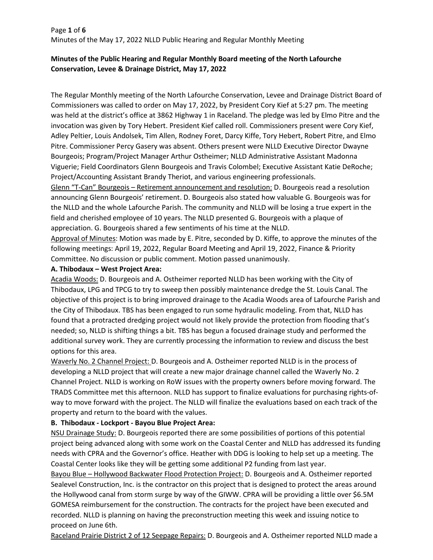# Page **1** of **6** Minutes of the May 17, 2022 NLLD Public Hearing and Regular Monthly Meeting

# **Minutes of the Public Hearing and Regular Monthly Board meeting of the North Lafourche Conservation, Levee & Drainage District, May 17, 2022**

The Regular Monthly meeting of the North Lafourche Conservation, Levee and Drainage District Board of Commissioners was called to order on May 17, 2022, by President Cory Kief at 5:27 pm. The meeting was held at the district's office at 3862 Highway 1 in Raceland. The pledge was led by Elmo Pitre and the invocation was given by Tory Hebert. President Kief called roll. Commissioners present were Cory Kief, Adley Peltier, Louis Andolsek, Tim Allen, Rodney Foret, Darcy Kiffe, Tory Hebert, Robert Pitre, and Elmo Pitre. Commissioner Percy Gasery was absent. Others present were NLLD Executive Director Dwayne Bourgeois; Program/Project Manager Arthur Ostheimer; NLLD Administrative Assistant Madonna Viguerie; Field Coordinators Glenn Bourgeois and Travis Colombel; Executive Assistant Katie DeRoche; Project/Accounting Assistant Brandy Theriot, and various engineering professionals.

Glenn "T-Can" Bourgeois – Retirement announcement and resolution: D. Bourgeois read a resolution announcing Glenn Bourgeois' retirement. D. Bourgeois also stated how valuable G. Bourgeois was for the NLLD and the whole Lafourche Parish. The community and NLLD will be losing a true expert in the field and cherished employee of 10 years. The NLLD presented G. Bourgeois with a plaque of appreciation. G. Bourgeois shared a few sentiments of his time at the NLLD.

Approval of Minutes: Motion was made by E. Pitre, seconded by D. Kiffe, to approve the minutes of the following meetings: April 19, 2022, Regular Board Meeting and April 19, 2022, Finance & Priority Committee. No discussion or public comment. Motion passed unanimously.

### **A. Thibodaux – West Project Area:**

Acadia Woods: D. Bourgeois and A. Ostheimer reported NLLD has been working with the City of Thibodaux, LPG and TPCG to try to sweep then possibly maintenance dredge the St. Louis Canal. The objective of this project is to bring improved drainage to the Acadia Woods area of Lafourche Parish and the City of Thibodaux. TBS has been engaged to run some hydraulic modeling. From that, NLLD has found that a protracted dredging project would not likely provide the protection from flooding that's needed; so, NLLD is shifting things a bit. TBS has begun a focused drainage study and performed the additional survey work. They are currently processing the information to review and discuss the best options for this area.

Waverly No. 2 Channel Project: D. Bourgeois and A. Ostheimer reported NLLD is in the process of developing a NLLD project that will create a new major drainage channel called the Waverly No. 2 Channel Project. NLLD is working on RoW issues with the property owners before moving forward. The TRADS Committee met this afternoon. NLLD has support to finalize evaluations for purchasing rights-ofway to move forward with the project. The NLLD will finalize the evaluations based on each track of the property and return to the board with the values.

### **B. Thibodaux - Lockport - Bayou Blue Project Area:**

NSU Drainage Study: D. Bourgeois reported there are some possibilities of portions of this potential project being advanced along with some work on the Coastal Center and NLLD has addressed its funding needs with CPRA and the Governor's office. Heather with DDG is looking to help set up a meeting. The Coastal Center looks like they will be getting some additional P2 funding from last year.

Bayou Blue – Hollywood Backwater Flood Protection Project: D. Bourgeois and A. Ostheimer reported Sealevel Construction, Inc. is the contractor on this project that is designed to protect the areas around the Hollywood canal from storm surge by way of the GIWW. CPRA will be providing a little over \$6.5M GOMESA reimbursement for the construction. The contracts for the project have been executed and recorded. NLLD is planning on having the preconstruction meeting this week and issuing notice to proceed on June 6th.

Raceland Prairie District 2 of 12 Seepage Repairs: D. Bourgeois and A. Ostheimer reported NLLD made a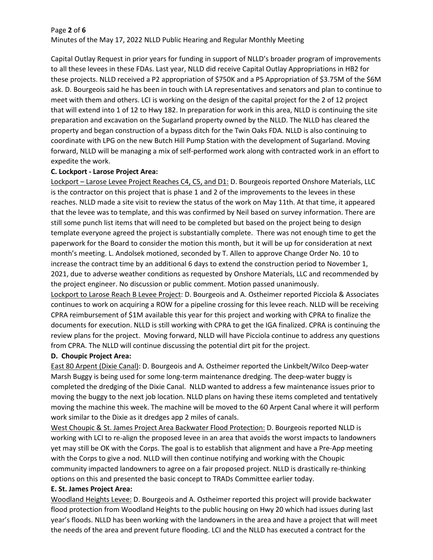### Page **2** of **6**

Minutes of the May 17, 2022 NLLD Public Hearing and Regular Monthly Meeting

Capital Outlay Request in prior years for funding in support of NLLD's broader program of improvements to all these levees in these FDAs. Last year, NLLD did receive Capital Outlay Appropriations in HB2 for these projects. NLLD received a P2 appropriation of \$750K and a P5 Appropriation of \$3.75M of the \$6M ask. D. Bourgeois said he has been in touch with LA representatives and senators and plan to continue to meet with them and others. LCI is working on the design of the capital project for the 2 of 12 project that will extend into 1 of 12 to Hwy 182. In preparation for work in this area, NLLD is continuing the site preparation and excavation on the Sugarland property owned by the NLLD. The NLLD has cleared the property and began construction of a bypass ditch for the Twin Oaks FDA. NLLD is also continuing to coordinate with LPG on the new Butch Hill Pump Station with the development of Sugarland. Moving forward, NLLD will be managing a mix of self-performed work along with contracted work in an effort to expedite the work.

# **C. Lockport - Larose Project Area:**

Lockport – Larose Levee Project Reaches C4, C5, and D1: D. Bourgeois reported Onshore Materials, LLC is the contractor on this project that is phase 1 and 2 of the improvements to the levees in these reaches. NLLD made a site visit to review the status of the work on May 11th. At that time, it appeared that the levee was to template, and this was confirmed by Neil based on survey information. There are still some punch list items that will need to be completed but based on the project being to design template everyone agreed the project is substantially complete. There was not enough time to get the paperwork for the Board to consider the motion this month, but it will be up for consideration at next month's meeting. L. Andolsek motioned, seconded by T. Allen to approve Change Order No. 10 to increase the contract time by an additional 6 days to extend the construction period to November 1, 2021, due to adverse weather conditions as requested by Onshore Materials, LLC and recommended by the project engineer. No discussion or public comment. Motion passed unanimously.

Lockport to Larose Reach B Levee Project: D. Bourgeois and A. Ostheimer reported Picciola & Associates continues to work on acquiring a ROW for a pipeline crossing for this levee reach. NLLD will be receiving CPRA reimbursement of \$1M available this year for this project and working with CPRA to finalize the documents for execution. NLLD is still working with CPRA to get the IGA finalized. CPRA is continuing the review plans for the project. Moving forward, NLLD will have Picciola continue to address any questions from CPRA. The NLLD will continue discussing the potential dirt pit for the project.

# **D. Choupic Project Area:**

East 80 Arpent (Dixie Canal): D. Bourgeois and A. Ostheimer reported the Linkbelt/Wilco Deep-water Marsh Buggy is being used for some long-term maintenance dredging. The deep-water buggy is completed the dredging of the Dixie Canal. NLLD wanted to address a few maintenance issues prior to moving the buggy to the next job location. NLLD plans on having these items completed and tentatively moving the machine this week. The machine will be moved to the 60 Arpent Canal where it will perform work similar to the Dixie as it dredges app 2 miles of canals.

West Choupic & St. James Project Area Backwater Flood Protection: D. Bourgeois reported NLLD is working with LCI to re-align the proposed levee in an area that avoids the worst impacts to landowners yet may still be OK with the Corps. The goal is to establish that alignment and have a Pre-App meeting with the Corps to give a nod. NLLD will then continue notifying and working with the Choupic community impacted landowners to agree on a fair proposed project. NLLD is drastically re-thinking options on this and presented the basic concept to TRADs Committee earlier today.

### **E. St. James Project Area:**

Woodland Heights Levee: D. Bourgeois and A. Ostheimer reported this project will provide backwater flood protection from Woodland Heights to the public housing on Hwy 20 which had issues during last year's floods. NLLD has been working with the landowners in the area and have a project that will meet the needs of the area and prevent future flooding. LCI and the NLLD has executed a contract for the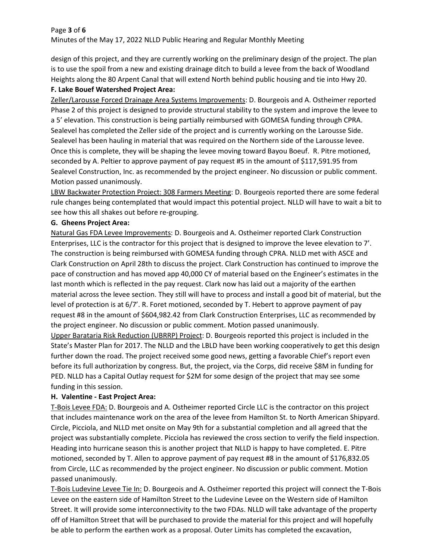### Page **3** of **6**

Minutes of the May 17, 2022 NLLD Public Hearing and Regular Monthly Meeting

design of this project, and they are currently working on the preliminary design of the project. The plan is to use the spoil from a new and existing drainage ditch to build a levee from the back of Woodland Heights along the 80 Arpent Canal that will extend North behind public housing and tie into Hwy 20.

# **F. Lake Bouef Watershed Project Area:**

Zeller/Larousse Forced Drainage Area Systems Improvements: D. Bourgeois and A. Ostheimer reported Phase 2 of this project is designed to provide structural stability to the system and improve the levee to a 5' elevation. This construction is being partially reimbursed with GOMESA funding through CPRA. Sealevel has completed the Zeller side of the project and is currently working on the Larousse Side. Sealevel has been hauling in material that was required on the Northern side of the Larousse levee. Once this is complete, they will be shaping the levee moving toward Bayou Boeuf. R. Pitre motioned, seconded by A. Peltier to approve payment of pay request #5 in the amount of \$117,591.95 from Sealevel Construction, Inc. as recommended by the project engineer. No discussion or public comment. Motion passed unanimously.

LBW Backwater Protection Project: 308 Farmers Meeting: D. Bourgeois reported there are some federal rule changes being contemplated that would impact this potential project. NLLD will have to wait a bit to see how this all shakes out before re-grouping.

# **G. Gheens Project Area:**

Natural Gas FDA Levee Improvements: D. Bourgeois and A. Ostheimer reported Clark Construction Enterprises, LLC is the contractor for this project that is designed to improve the levee elevation to 7'. The construction is being reimbursed with GOMESA funding through CPRA. NLLD met with ASCE and Clark Construction on April 28th to discuss the project. Clark Construction has continued to improve the pace of construction and has moved app 40,000 CY of material based on the Engineer's estimates in the last month which is reflected in the pay request. Clark now has laid out a majority of the earthen material across the levee section. They still will have to process and install a good bit of material, but the level of protection is at 6/7'. R. Foret motioned, seconded by T. Hebert to approve payment of pay request #8 in the amount of \$604,982.42 from Clark Construction Enterprises, LLC as recommended by the project engineer. No discussion or public comment. Motion passed unanimously. Upper Barataria Risk Reduction (UBRRP) Project: D. Bourgeois reported this project is included in the State's Master Plan for 2017. The NLLD and the LBLD have been working cooperatively to get this design further down the road. The project received some good news, getting a favorable Chief's report even before its full authorization by congress. But, the project, via the Corps, did receive \$8M in funding for PED. NLLD has a Capital Outlay request for \$2M for some design of the project that may see some funding in this session.

# **H. Valentine - East Project Area:**

T-Bois Levee FDA: D. Bourgeois and A. Ostheimer reported Circle LLC is the contractor on this project that includes maintenance work on the area of the levee from Hamilton St. to North American Shipyard. Circle, Picciola, and NLLD met onsite on May 9th for a substantial completion and all agreed that the project was substantially complete. Picciola has reviewed the cross section to verify the field inspection. Heading into hurricane season this is another project that NLLD is happy to have completed. E. Pitre motioned, seconded by T. Allen to approve payment of pay request #8 in the amount of \$176,832.05 from Circle, LLC as recommended by the project engineer. No discussion or public comment. Motion passed unanimously.

T-Bois Ludevine Levee Tie In: D. Bourgeois and A. Ostheimer reported this project will connect the T-Bois Levee on the eastern side of Hamilton Street to the Ludevine Levee on the Western side of Hamilton Street. It will provide some interconnectivity to the two FDAs. NLLD will take advantage of the property off of Hamilton Street that will be purchased to provide the material for this project and will hopefully be able to perform the earthen work as a proposal. Outer Limits has completed the excavation,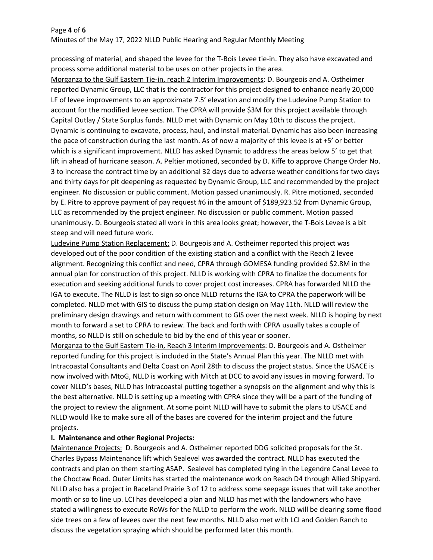#### Page **4** of **6**

Minutes of the May 17, 2022 NLLD Public Hearing and Regular Monthly Meeting

processing of material, and shaped the levee for the T-Bois Levee tie-in. They also have excavated and process some additional material to be uses on other projects in the area.

Morganza to the Gulf Eastern Tie-in, reach 2 Interim Improvements: D. Bourgeois and A. Ostheimer reported Dynamic Group, LLC that is the contractor for this project designed to enhance nearly 20,000 LF of levee improvements to an approximate 7.5' elevation and modify the Ludevine Pump Station to account for the modified levee section. The CPRA will provide \$3M for this project available through Capital Outlay / State Surplus funds. NLLD met with Dynamic on May 10th to discuss the project. Dynamic is continuing to excavate, process, haul, and install material. Dynamic has also been increasing the pace of construction during the last month. As of now a majority of this levee is at +5' or better which is a significant improvement. NLLD has asked Dynamic to address the areas below 5' to get that lift in ahead of hurricane season. A. Peltier motioned, seconded by D. Kiffe to approve Change Order No. 3 to increase the contract time by an additional 32 days due to adverse weather conditions for two days and thirty days for pit deepening as requested by Dynamic Group, LLC and recommended by the project engineer. No discussion or public comment. Motion passed unanimously. R. Pitre motioned, seconded by E. Pitre to approve payment of pay request #6 in the amount of \$189,923.52 from Dynamic Group, LLC as recommended by the project engineer. No discussion or public comment. Motion passed unanimously. D. Bourgeois stated all work in this area looks great; however, the T-Bois Levee is a bit steep and will need future work.

Ludevine Pump Station Replacement: D. Bourgeois and A. Ostheimer reported this project was developed out of the poor condition of the existing station and a conflict with the Reach 2 levee alignment. Recognizing this conflict and need, CPRA through GOMESA funding provided \$2.8M in the annual plan for construction of this project. NLLD is working with CPRA to finalize the documents for execution and seeking additional funds to cover project cost increases. CPRA has forwarded NLLD the IGA to execute. The NLLD is last to sign so once NLLD returns the IGA to CPRA the paperwork will be completed. NLLD met with GIS to discuss the pump station design on May 11th. NLLD will review the preliminary design drawings and return with comment to GIS over the next week. NLLD is hoping by next month to forward a set to CPRA to review. The back and forth with CPRA usually takes a couple of months, so NLLD is still on schedule to bid by the end of this year or sooner.

Morganza to the Gulf Eastern Tie-in, Reach 3 Interim Improvements: D. Bourgeois and A. Ostheimer reported funding for this project is included in the State's Annual Plan this year. The NLLD met with Intracoastal Consultants and Delta Coast on April 28th to discuss the project status. Since the USACE is now involved with MtoG, NLLD is working with Mitch at DCC to avoid any issues in moving forward. To cover NLLD's bases, NLLD has Intracoastal putting together a synopsis on the alignment and why this is the best alternative. NLLD is setting up a meeting with CPRA since they will be a part of the funding of the project to review the alignment. At some point NLLD will have to submit the plans to USACE and NLLD would like to make sure all of the bases are covered for the interim project and the future projects.

### **I. Maintenance and other Regional Projects:**

Maintenance Projects: D. Bourgeois and A. Ostheimer reported DDG solicited proposals for the St. Charles Bypass Maintenance lift which Sealevel was awarded the contract. NLLD has executed the contracts and plan on them starting ASAP. Sealevel has completed tying in the Legendre Canal Levee to the Choctaw Road. Outer Limits has started the maintenance work on Reach D4 through Allied Shipyard. NLLD also has a project in Raceland Prairie 3 of 12 to address some seepage issues that will take another month or so to line up. LCI has developed a plan and NLLD has met with the landowners who have stated a willingness to execute RoWs for the NLLD to perform the work. NLLD will be clearing some flood side trees on a few of levees over the next few months. NLLD also met with LCI and Golden Ranch to discuss the vegetation spraying which should be performed later this month.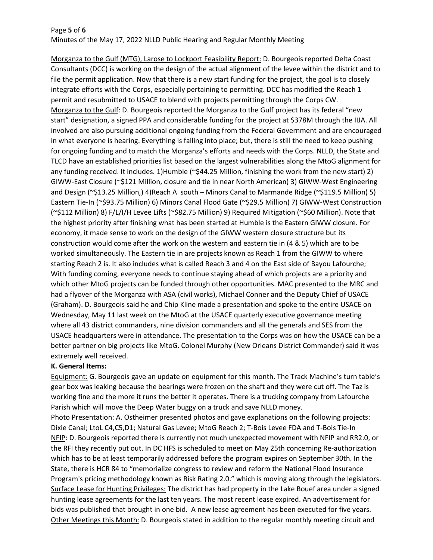# Page **5** of **6** Minutes of the May 17, 2022 NLLD Public Hearing and Regular Monthly Meeting

Morganza to the Gulf (MTG), Larose to Lockport Feasibility Report: D. Bourgeois reported Delta Coast Consultants (DCC) is working on the design of the actual alignment of the levee within the district and to file the permit application. Now that there is a new start funding for the project, the goal is to closely integrate efforts with the Corps, especially pertaining to permitting. DCC has modified the Reach 1 permit and resubmitted to USACE to blend with projects permitting through the Corps CW. Morganza to the Gulf: D. Bourgeois reported the Morganza to the Gulf project has its federal "new start" designation, a signed PPA and considerable funding for the project at \$378M through the IIJA. All involved are also pursuing additional ongoing funding from the Federal Government and are encouraged in what everyone is hearing. Everything is falling into place; but, there is still the need to keep pushing for ongoing funding and to match the Morganza's efforts and needs with the Corps. NLLD, the State and TLCD have an established priorities list based on the largest vulnerabilities along the MtoG alignment for any funding received. It includes. 1)Humble (~\$44.25 Million, finishing the work from the new start) 2) GIWW-East Closure (~\$121 Million, closure and tie in near North American) 3) GIWW-West Engineering and Design (~\$13.25 Million,) 4)Reach A south – Minors Canal to Marmande Ridge (~\$119.5 Million) 5) Eastern Tie-In (~\$93.75 Million) 6) Minors Canal Flood Gate (~\$29.5 Million) 7) GIWW-West Construction (~\$112 Million) 8) F/L/I/H Levee Lifts (~\$82.75 Million) 9) Required Mitigation (~\$60 Million). Note that the highest priority after finishing what has been started at Humble is the Eastern GIWW closure. For economy, it made sense to work on the design of the GIWW western closure structure but its construction would come after the work on the western and eastern tie in (4 & 5) which are to be worked simultaneously. The Eastern tie in are projects known as Reach 1 from the GIWW to where starting Reach 2 is. It also includes what is called Reach 3 and 4 on the East side of Bayou Lafourche; With funding coming, everyone needs to continue staying ahead of which projects are a priority and which other MtoG projects can be funded through other opportunities. MAC presented to the MRC and had a flyover of the Morganza with ASA (civil works), Michael Conner and the Deputy Chief of USACE (Graham). D. Bourgeois said he and Chip Kline made a presentation and spoke to the entire USACE on Wednesday, May 11 last week on the MtoG at the USACE quarterly executive governance meeting where all 43 district commanders, nine division commanders and all the generals and SES from the USACE headquarters were in attendance. The presentation to the Corps was on how the USACE can be a better partner on big projects like MtoG. Colonel Murphy (New Orleans District Commander) said it was extremely well received.

### **K. General Items:**

Equipment: G. Bourgeois gave an update on equipment for this month. The Track Machine's turn table's gear box was leaking because the bearings were frozen on the shaft and they were cut off. The Taz is working fine and the more it runs the better it operates. There is a trucking company from Lafourche Parish which will move the Deep Water buggy on a truck and save NLLD money.

Photo Presentation: A. Ostheimer presented photos and gave explanations on the following projects: Dixie Canal; LtoL C4,C5,D1; Natural Gas Levee; MtoG Reach 2; T-Bois Levee FDA and T-Bois Tie-In NFIP: D. Bourgeois reported there is currently not much unexpected movement with NFIP and RR2.0, or the RFI they recently put out. In DC HFS is scheduled to meet on May 25th concerning Re-authorization which has to be at least temporarily addressed before the program expires on September 30th. In the State, there is HCR 84 to "memorialize congress to review and reform the National Flood Insurance Program's pricing methodology known as Risk Rating 2.0." which is moving along through the legislators. Surface Lease for Hunting Privileges: The district has had property in the Lake Bouef area under a signed hunting lease agreements for the last ten years. The most recent lease expired. An advertisement for bids was published that brought in one bid. A new lease agreement has been executed for five years. Other Meetings this Month: D. Bourgeois stated in addition to the regular monthly meeting circuit and